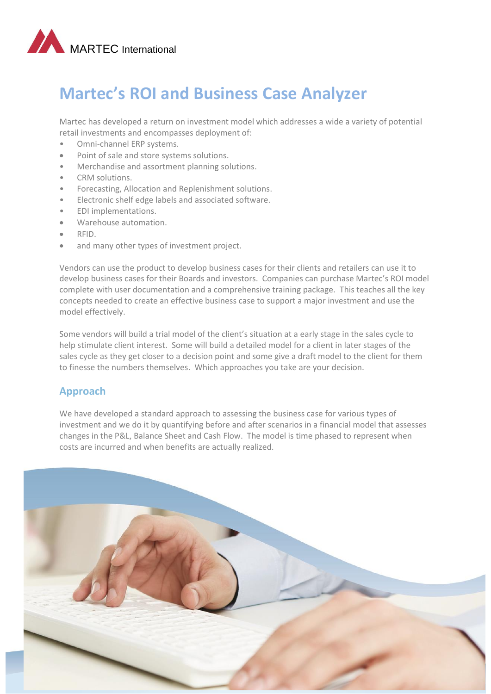

# **Martec's ROI and Business Case Analyzer**

Martec has developed a return on investment model which addresses a wide a variety of potential retail investments and encompasses deployment of:

- Omni-channel ERP systems.
- Point of sale and store systems solutions.
- Merchandise and assortment planning solutions.
- CRM solutions.
- Forecasting, Allocation and Replenishment solutions.
- Electronic shelf edge labels and associated software.
- EDI implementations.
- Warehouse automation.
- RFID.
- and many other types of investment project.

Vendors can use the product to develop business cases for their clients and retailers can use it to develop business cases for their Boards and investors. Companies can purchase Martec's ROI model complete with user documentation and a comprehensive training package. This teaches all the key concepts needed to create an effective business case to support a major investment and use the model effectively.

Some vendors will build a trial model of the client's situation at a early stage in the sales cycle to help stimulate client interest. Some will build a detailed model for a client in later stages of the sales cycle as they get closer to a decision point and some give a draft model to the client for them to finesse the numbers themselves. Which approaches you take are your decision.

## **Approach**

We have developed a standard approach to assessing the business case for various types of investment and we do it by quantifying before and after scenarios in a financial model that assesses changes in the P&L, Balance Sheet and Cash Flow. The model is time phased to represent when costs are incurred and when benefits are actually realized.

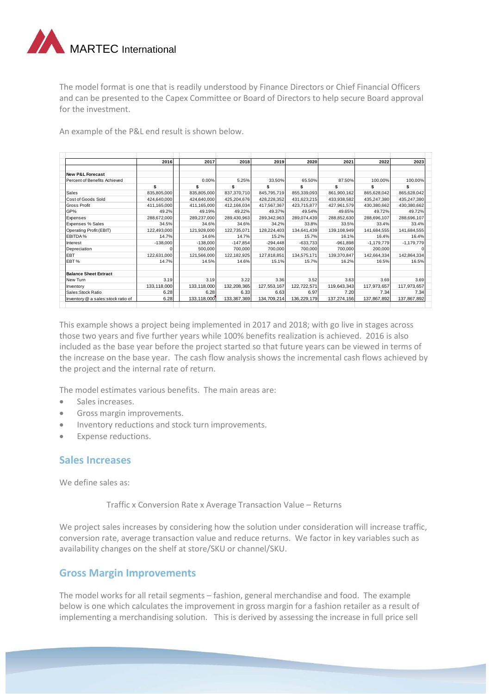

The model format is one that is readily understood by Finance Directors or Chief Financial Officers and can be presented to the Capex Committee or Board of Directors to help secure Board approval for the investment.

An example of the P&L end result is shown below.

|                                    | 2016          | 2017        | 2018        | 2019        | 2020        | 2021        | 2022         | 2023         |
|------------------------------------|---------------|-------------|-------------|-------------|-------------|-------------|--------------|--------------|
|                                    |               |             |             |             |             |             |              |              |
| <b>New P&amp;L Forecast</b>        |               |             |             |             |             |             |              |              |
| Percent of Benefits Achieved       |               | 0.00%       | 5.25%       | 33.50%      | 65.50%      | 87.50%      | 100.00%      | 100.00%      |
|                                    | \$            |             | \$          |             |             |             |              | \$           |
| Sales                              | 835,805,000   | 835,805,000 | 837,370,710 | 845,795,719 | 855,339,093 | 861,900,162 | 865,628,042  | 865,628,042  |
| Cost of Goods Sold                 | 424,640,000   | 424,640,000 | 425,204,676 | 428,228,352 | 431,623,215 | 433,938,582 | 435,247,380  | 435,247,380  |
| <b>Gross Profit</b>                | 411,165,000   | 411,165,000 | 412,166,034 | 417,567,367 | 423,715,877 | 427,961,579 | 430,380,662  | 430,380,662  |
| GP%                                | 49.2%         | 49.19%      | 49.22%      | 49.37%      | 49.54%      | 49.65%      | 49.72%       | 49.72%       |
| Expenses                           | 288,672,000   | 289,237,000 | 289,430,963 | 289,342,963 | 289,074,439 | 288,852,630 | 288,696,107  | 288,696,107  |
| Expenses % Sales                   | 34.5%         | 34.6%       | 34.6%       | 34.2%       | 33.8%       | 33.5%       | 33.4%        | 33.4%        |
| Operating Profit (EBIT)            | 122.493.000   | 121.928.000 | 122.735.071 | 128,224,403 | 134.641.439 | 139,108,949 | 141,684,555  | 141,684,555  |
| EBITDA %                           | 14.7%         | 14.6%       | 14.7%       | 15.2%       | 15.7%       | 16.1%       | 16.4%        | 16.4%        |
| Interest                           | $-138.000$    | $-138.000$  | $-147.854$  | $-294.448$  | $-633.733$  | $-961.898$  | $-1.179.779$ | $-1,179,779$ |
| Depreciation                       |               | 500,000     | 700.000     | 700,000     | 700.000     | 700,000     | 200,000      |              |
| <b>EBT</b>                         | 122,631,000   | 121,566,000 | 122.182.925 | 127,818,851 | 134.575.171 | 139,370,847 | 142.664.334  | 142,864,334  |
| EBT <sub>%</sub>                   | 14.7%         | 14.5%       | 14.6%       | 15.1%       | 15.7%       | 16.2%       | 16.5%        | 16.5%        |
|                                    |               |             |             |             |             |             |              |              |
| <b>Balance Sheet Extract</b>       |               |             |             |             |             |             |              |              |
| New Turn                           | 3.19          | 3.19        | 3.22        | 3.36        | 3.52        | 3.63        | 3.69         | 3.69         |
| Inventory                          | 133, 118, 000 | 133,118,000 | 132,208,365 | 127,553,167 | 122,722,571 | 119,643,343 | 117,973,657  | 117,973,657  |
| Sales:Stock Ratio                  | 6.28          | 6.28        | 6.33        | 6.63        | 6.97        | 7.20        | 7.34         | 7.34         |
| Inventory @ a sales:stock ratio of | 6.28          | 133,118,000 | 133,367,369 | 134,709,214 | 136,229,179 | 137,274,156 | 137,867,892  | 137,867,892  |

This example shows a project being implemented in 2017 and 2018; with go live in stages across those two years and five further years while 100% benefits realization is achieved. 2016 is also included as the base year before the project started so that future years can be viewed in terms of the increase on the base year. The cash flow analysis shows the incremental cash flows achieved by the project and the internal rate of return.

The model estimates various benefits. The main areas are:

- Sales increases.
- **Gross margin improvements.**
- Inventory reductions and stock turn improvements.
- Expense reductions.

#### **Sales Increases**

We define sales as:

Traffic x Conversion Rate x Average Transaction Value – Returns

We project sales increases by considering how the solution under consideration will increase traffic, conversion rate, average transaction value and reduce returns. We factor in key variables such as availability changes on the shelf at store/SKU or channel/SKU.

#### **Gross Margin Improvements**

The model works for all retail segments – fashion, general merchandise and food. The example below is one which calculates the improvement in gross margin for a fashion retailer as a result of implementing a merchandising solution. This is derived by assessing the increase in full price sell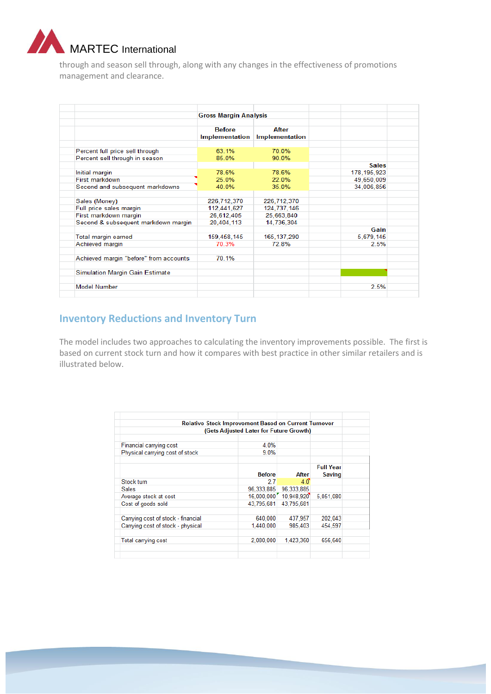

through and season sell through, along with any changes in the effectiveness of promotions management and clearance.

|                                        | <b>Gross Margin Analysis</b>    |                         |               |
|----------------------------------------|---------------------------------|-------------------------|---------------|
|                                        | <b>Before</b><br>Implementation | After<br>Implementation |               |
| Percent full price sell through        | 63 1%                           | 70 0%                   |               |
| Percent sell through in season         | 85 0%                           | 90.0%                   |               |
|                                        |                                 |                         | <b>Sales</b>  |
| Initial margin                         | 78.6%                           | 78.6%                   | 178, 195, 923 |
| First markdown                         | 25.0%                           | 22.0%                   | 49,650,009    |
| Second and subsequent markdowns        | 40.0%                           | 35.0%                   | 34,006,856    |
|                                        |                                 |                         |               |
| Sales (Money)                          | 226,712,370                     | 226.712.370             |               |
| Full price sales margin                | 112.441.627                     | 124,737,146             |               |
| First markdown margin                  | 26,612,405                      | 25.663.840              |               |
| Second & subsequent markdown margin    | 20,404,113                      | 14,736,304              |               |
|                                        |                                 |                         | Gain          |
| Total margin earned                    | 159,458,145                     | 165, 137, 290           | 5,679,145     |
| Achieved margin                        | 70.3%                           | 72.8%                   | 2.5%          |
|                                        |                                 |                         |               |
| Achieved margin "before" from accounts | 70.1%                           |                         |               |
|                                        |                                 |                         |               |
| Simulation Margin Gain Estimate        |                                 |                         |               |
|                                        |                                 |                         |               |
| <b>Model Number</b>                    |                                 |                         | 2.5%          |

# **Inventory Reductions and Inventory Turn**

The model includes two approaches to calculating the inventory improvements possible. The first is based on current stock turn and how it compares with best practice in other similar retailers and is illustrated below.

|                                    | <b>Relative Stock Improvement Based on Current Turnover</b> |                       |                  |
|------------------------------------|-------------------------------------------------------------|-----------------------|------------------|
|                                    | (Gets Adjusted Later for Future Growth)                     |                       |                  |
| Financial carrying cost            | 4.0%                                                        |                       |                  |
| Physical carrying cost of stock    | 9.0%                                                        |                       |                  |
|                                    |                                                             |                       | <b>Full Year</b> |
|                                    | <b>Before</b>                                               | After                 | <b>Saving</b>    |
| Stock turn                         | 2.7                                                         | $40^{\circ}$          |                  |
| Sales                              | 96.333.885                                                  | 96,333,885            |                  |
| Average stock at cost              |                                                             | 16.000.000 10.948.920 | 5.051.080        |
| Cost of goods sold                 | 43.795.681                                                  | 43.795.681            |                  |
| Carrying cost of stock - financial | 640,000                                                     | 437.957               | 202.043          |
| Carrying cost of stock - physical  | 1,440,000                                                   | 985.403               | 454.597          |
| Total carrying cost                | 2,080,000                                                   | 1,423,360             | 656,640          |
|                                    |                                                             |                       |                  |
|                                    |                                                             |                       |                  |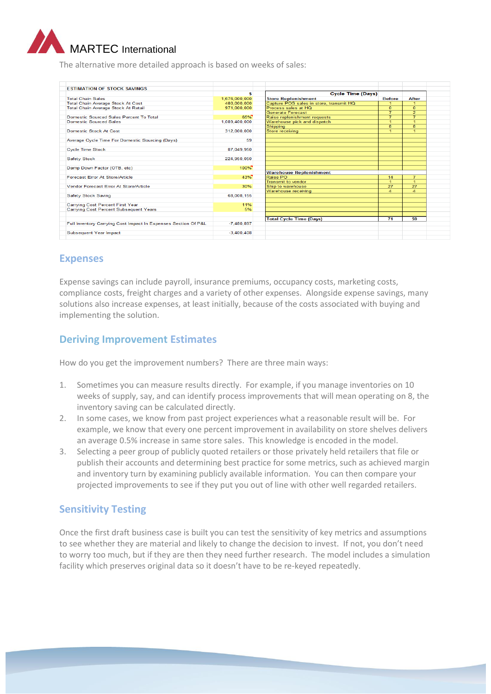

The alternative more detailed approach is based on weeks of sales:

| <b>ESTIMATION OF STOCK SAVINGS</b>                             |               |                                         |                      |                |
|----------------------------------------------------------------|---------------|-----------------------------------------|----------------------|----------------|
|                                                                | \$            | <b>Cycle Time (Days)</b>                |                      |                |
| <b>Total Chain Sales</b>                                       | 1.676.000.000 | <b>Store Replenishment</b>              | <b>Before</b>        | <b>After</b>   |
| <b>Total Chain Average Stock At Cost</b>                       | 480,000,000   | Capture POS sales in store, transmit HQ |                      |                |
| <b>Total Chain Average Stock At Retail</b>                     | 971,000,000   | Process sales at HQ                     | $\Omega$             | $\overline{0}$ |
|                                                                |               | <b>Generate Forecast</b>                | 7                    | $\overline{2}$ |
| Domestic Sourced Sales Percent To Total                        | 65%           | Raise replenishment requests            | 7                    | ₹              |
| <b>Domestic Sourced Sales</b>                                  | 1.089.400.000 | Warehouse pick and dispatch             | $\blacktriangleleft$ | и              |
|                                                                |               | Shipping                                | 8                    | 8              |
| Domestic Stock At Cost                                         | 312.000.000   | Store receiving                         | 4                    | 1              |
| Average Cycle Time For Domestic Sourcing (Days)                | 59            |                                         |                      |                |
| <b>Cycle Time Stock</b>                                        | 87,049,950    |                                         |                      |                |
| <b>Safety Stock</b>                                            | 224,950,050   |                                         |                      |                |
|                                                                |               |                                         |                      |                |
| Damp Down Factor (OTB, etc)                                    | 100%          |                                         |                      |                |
|                                                                |               | <b>Warehouse Replenishment</b>          |                      |                |
| <b>Forecast Frror At Store/Article</b>                         | 43%           | Raise PO                                | 14                   | 7              |
|                                                                |               | <b>Transmit to vendor</b>               | $\blacktriangleleft$ | H.             |
| Vendor Forecast Error At Store/Article                         | 30%           | Ship to warehouse                       | 27                   | 27             |
|                                                                |               | <b>Warehouse receiving</b>              | $\Delta$             | $\mathbf{A}$   |
| <b>Safety Stock Saving</b>                                     | 68,008,155    |                                         |                      |                |
| Carrying Cost Percent First Year                               | 11%           |                                         |                      |                |
| Carrying Cost Percent Subsequent Years                         | 5%            |                                         |                      |                |
|                                                                |               |                                         |                      |                |
|                                                                |               | <b>Total Cycle Time (Days)</b>          | $\overline{71}$      | 59             |
| Full Inventory Carrying Cost Impact In Expenses Section Of P&L | $-7.480.897$  |                                         |                      |                |
| <b>Subsequent Year Impact</b>                                  | $-3.400.408$  |                                         |                      |                |
|                                                                |               |                                         |                      |                |

## **Expenses**

Expense savings can include payroll, insurance premiums, occupancy costs, marketing costs, compliance costs, freight charges and a variety of other expenses. Alongside expense savings, many solutions also increase expenses, at least initially, because of the costs associated with buying and implementing the solution.

## **Deriving Improvement Estimates**

How do you get the improvement numbers? There are three main ways:

- 1. Sometimes you can measure results directly. For example, if you manage inventories on 10 weeks of supply, say, and can identify process improvements that will mean operating on 8, the inventory saving can be calculated directly.
- 2. In some cases, we know from past project experiences what a reasonable result will be. For example, we know that every one percent improvement in availability on store shelves delivers an average 0.5% increase in same store sales. This knowledge is encoded in the model.
- 3. Selecting a peer group of publicly quoted retailers or those privately held retailers that file or publish their accounts and determining best practice for some metrics, such as achieved margin and inventory turn by examining publicly available information. You can then compare your projected improvements to see if they put you out of line with other well regarded retailers.

## **Sensitivity Testing**

Once the first draft business case is built you can test the sensitivity of key metrics and assumptions to see whether they are material and likely to change the decision to invest. If not, you don't need to worry too much, but if they are then they need further research. The model includes a simulation facility which preserves original data so it doesn't have to be re-keyed repeatedly.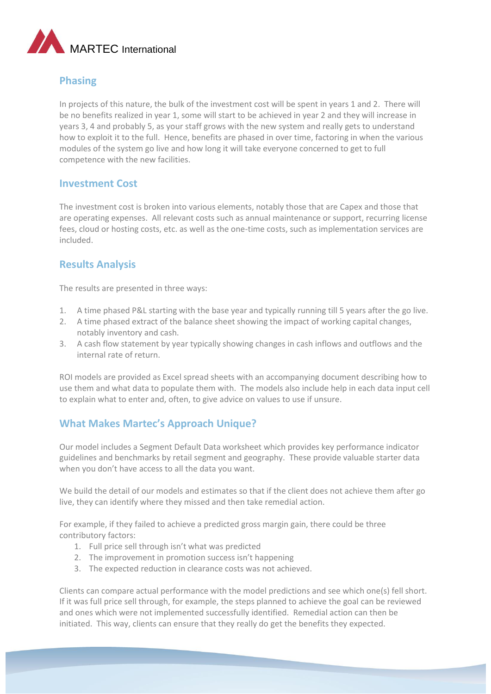

## **Phasing**

In projects of this nature, the bulk of the investment cost will be spent in years 1 and 2. There will be no benefits realized in year 1, some will start to be achieved in year 2 and they will increase in years 3, 4 and probably 5, as your staff grows with the new system and really gets to understand how to exploit it to the full. Hence, benefits are phased in over time, factoring in when the various modules of the system go live and how long it will take everyone concerned to get to full competence with the new facilities.

#### **Investment Cost**

The investment cost is broken into various elements, notably those that are Capex and those that are operating expenses. All relevant costs such as annual maintenance or support, recurring license fees, cloud or hosting costs, etc. as well as the one-time costs, such as implementation services are included.

## **Results Analysis**

The results are presented in three ways:

- 1. A time phased P&L starting with the base year and typically running till 5 years after the go live.
- 2. A time phased extract of the balance sheet showing the impact of working capital changes, notably inventory and cash.
- 3. A cash flow statement by year typically showing changes in cash inflows and outflows and the internal rate of return.

ROI models are provided as Excel spread sheets with an accompanying document describing how to use them and what data to populate them with. The models also include help in each data input cell to explain what to enter and, often, to give advice on values to use if unsure.

## **What Makes Martec's Approach Unique?**

Our model includes a Segment Default Data worksheet which provides key performance indicator guidelines and benchmarks by retail segment and geography. These provide valuable starter data when you don't have access to all the data you want.

We build the detail of our models and estimates so that if the client does not achieve them after go live, they can identify where they missed and then take remedial action.

For example, if they failed to achieve a predicted gross margin gain, there could be three contributory factors:

- 1. Full price sell through isn't what was predicted
- 2. The improvement in promotion success isn't happening
- 3. The expected reduction in clearance costs was not achieved.

Clients can compare actual performance with the model predictions and see which one(s) fell short. If it was full price sell through, for example, the steps planned to achieve the goal can be reviewed and ones which were not implemented successfully identified. Remedial action can then be initiated. This way, clients can ensure that they really do get the benefits they expected.